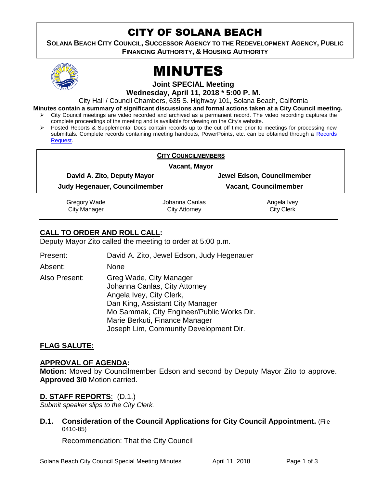## CITY OF SOLANA BEACH

**SOLANA BEACH CITY COUNCIL, SUCCESSOR AGENCY TO THE REDEVELOPMENT AGENCY, PUBLIC FINANCING AUTHORITY, & HOUSING AUTHORITY** 



# MINUTES

**Joint SPECIAL Meeting**

**Wednesday, April 11, 2018 \* 5:00 P. M.**

City Hall / Council Chambers, 635 S. Highway 101, Solana Beach, California

**Minutes contain a summary of significant discussions and formal actions taken at a City Council meeting.**

- City Council meetings are video recorded and archived as a permanent record. The video recording captures the complete proceedings of the meeting and is available for viewing on the City's website.
- $\triangleright$  Posted Reports & Supplemental Docs contain records up to the cut off time prior to meetings for processing new submittals. Complete records containing meeting handouts, PowerPoints, etc. can be obtained through a [Records](http://www.ci.solana-beach.ca.us/index.asp?SEC=F5D45D10-70CE-4291-A27C-7BD633FC6742&Type=B_BASIC)  [Request.](http://www.ci.solana-beach.ca.us/index.asp?SEC=F5D45D10-70CE-4291-A27C-7BD633FC6742&Type=B_BASIC)

| <b>CITY COUNCILMEMBERS</b><br>Vacant, Mayor |                                        |                                  |  |
|---------------------------------------------|----------------------------------------|----------------------------------|--|
|                                             |                                        |                                  |  |
| Judy Hegenauer, Councilmember               |                                        | <b>Vacant, Councilmember</b>     |  |
| Gregory Wade<br><b>City Manager</b>         | Johanna Canlas<br><b>City Attorney</b> | Angela Ivey<br><b>City Clerk</b> |  |

### **CALL TO ORDER AND ROLL CALL:**

Deputy Mayor Zito called the meeting to order at 5:00 p.m.

Present: David A. Zito, Jewel Edson, Judy Hegenauer Absent: None Also Present: Greg Wade, City Manager Johanna Canlas, City Attorney Angela Ivey, City Clerk, Dan King, Assistant City Manager Mo Sammak, City Engineer/Public Works Dir. Marie Berkuti, Finance Manager Joseph Lim, Community Development Dir.

#### **FLAG SALUTE:**

#### **APPROVAL OF AGENDA:**

**Motion:** Moved by Councilmember Edson and second by Deputy Mayor Zito to approve. **Approved 3/0** Motion carried.

#### **D. STAFF REPORTS**: (D.1.)

*Submit speaker slips to the City Clerk.*

**D.1. Consideration of the Council Applications for City Council Appointment.** (File 0410-85)

Recommendation: That the City Council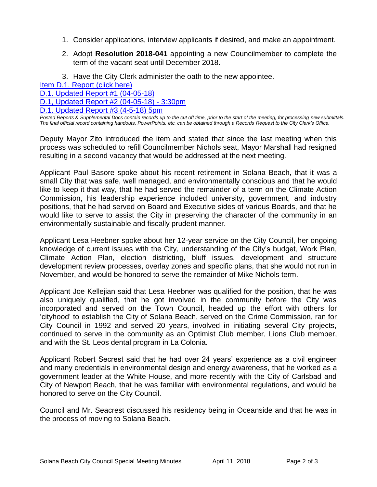- 1. Consider applications, interview applicants if desired, and make an appointment.
- 2. Adopt **Resolution 2018-041** appointing a new Councilmember to complete the term of the vacant seat until December 2018.
- 3. Have the City Clerk administer the oath to the new appointee.

[Item D.1. Report \(click here\)](https://solanabeach.govoffice3.com/vertical/Sites/%7B840804C2-F869-4904-9AE3-720581350CE7%7D/uploads/Item_D.1._Report_(click_here)_-04-11-18.PDF)

[D.1. Updated Report #1 \(04-05-18\)](https://solanabeach.govoffice3.com/vertical/Sites/%7B840804C2-F869-4904-9AE3-720581350CE7%7D/uploads/D.1._Updated_Report_1_-_04-05-18.pdf)

[D.1, Updated Report #2 \(04-05-18\) -](https://solanabeach.govoffice3.com/vertical/Sites/%7B840804C2-F869-4904-9AE3-720581350CE7%7D/uploads/D.1._Updated_Report_2_-_04-05-18.pdf) 3:30pm

[D.1. Updated Report #3 \(4-5-18\) 5pm](https://solanabeach.govoffice3.com/vertical/Sites/%7B840804C2-F869-4904-9AE3-720581350CE7%7D/uploads/D.1._Update_Report_3.pdf)

*Posted Reports & Supplemental Docs contain records up to the cut off time, prior to the start of the meeting, for processing new submittals. The final official record containing handouts, PowerPoints, etc. can be obtained through a Records Request to the City Clerk's Office.*

Deputy Mayor Zito introduced the item and stated that since the last meeting when this process was scheduled to refill Councilmember Nichols seat, Mayor Marshall had resigned resulting in a second vacancy that would be addressed at the next meeting.

Applicant Paul Basore spoke about his recent retirement in Solana Beach, that it was a small City that was safe, well managed, and environmentally conscious and that he would like to keep it that way, that he had served the remainder of a term on the Climate Action Commission, his leadership experience included university, government, and industry positions, that he had served on Board and Executive sides of various Boards, and that he would like to serve to assist the City in preserving the character of the community in an environmentally sustainable and fiscally prudent manner.

Applicant Lesa Heebner spoke about her 12-year service on the City Council, her ongoing knowledge of current issues with the City, understanding of the City's budget, Work Plan, Climate Action Plan, election districting, bluff issues, development and structure development review processes, overlay zones and specific plans, that she would not run in November, and would be honored to serve the remainder of Mike Nichols term.

Applicant Joe Kellejian said that Lesa Heebner was qualified for the position, that he was also uniquely qualified, that he got involved in the community before the City was incorporated and served on the Town Council, headed up the effort with others for 'cityhood' to establish the City of Solana Beach, served on the Crime Commission, ran for City Council in 1992 and served 20 years, involved in initiating several City projects, continued to serve in the community as an Optimist Club member, Lions Club member, and with the St. Leos dental program in La Colonia.

Applicant Robert Secrest said that he had over 24 years' experience as a civil engineer and many credentials in environmental design and energy awareness, that he worked as a government leader at the White House, and more recently with the City of Carlsbad and City of Newport Beach, that he was familiar with environmental regulations, and would be honored to serve on the City Council.

Council and Mr. Seacrest discussed his residency being in Oceanside and that he was in the process of moving to Solana Beach.